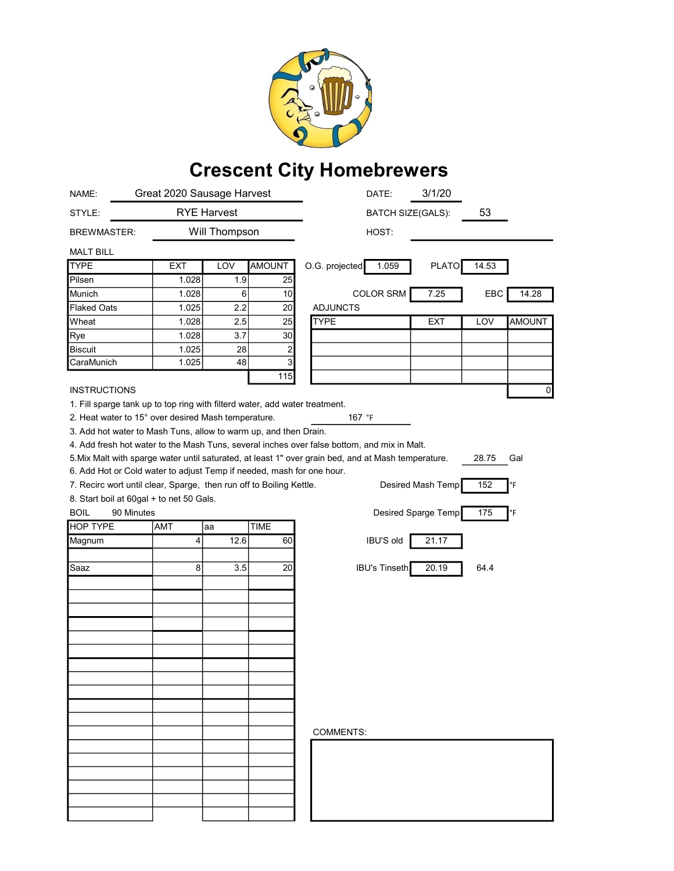

## Crescent City Homebrewers

| NAME:                                                                                                                                        | Great 2020 Sausage Harvest |               |               | 3/1/20<br>DATE:                                   |
|----------------------------------------------------------------------------------------------------------------------------------------------|----------------------------|---------------|---------------|---------------------------------------------------|
| STYLE:                                                                                                                                       | <b>RYE Harvest</b>         |               |               | 53<br><b>BATCH SIZE(GALS):</b>                    |
| <b>BREWMASTER:</b>                                                                                                                           |                            | Will Thompson |               | HOST:                                             |
| <b>MALT BILL</b>                                                                                                                             |                            |               |               |                                                   |
| <b>TYPE</b>                                                                                                                                  | <b>EXT</b>                 | LOV           | <b>AMOUNT</b> | 1.059<br><b>PLATO</b><br>14.53<br>O.G. projected  |
| Pilsen                                                                                                                                       | 1.028                      | 1.9           | 25            |                                                   |
| Munich                                                                                                                                       | 1.028                      | 6             | 10            | <b>COLOR SRM</b><br>7.25<br>EBC<br>14.28          |
| <b>Flaked Oats</b>                                                                                                                           | 1.025                      | 2.2           | 20            | <b>ADJUNCTS</b>                                   |
| Wheat                                                                                                                                        | 1.028                      | 2.5           | 25            | <b>TYPE</b><br>LOV<br><b>AMOUNT</b><br><b>EXT</b> |
| Rye                                                                                                                                          | 1.028                      | 3.7           | 30            |                                                   |
| Biscuit                                                                                                                                      | 1.025                      | 28            | 2             |                                                   |
| CaraMunich                                                                                                                                   | 1.025                      | 48            | 3             |                                                   |
|                                                                                                                                              |                            |               | 115           |                                                   |
| <b>INSTRUCTIONS</b>                                                                                                                          |                            |               |               | 0                                                 |
|                                                                                                                                              |                            |               |               |                                                   |
| 1. Fill sparge tank up to top ring with filterd water, add water treatment.<br>2. Heat water to 15° over desired Mash temperature.<br>167 °F |                            |               |               |                                                   |
| 3. Add hot water to Mash Tuns, allow to warm up, and then Drain.                                                                             |                            |               |               |                                                   |
| 4. Add fresh hot water to the Mash Tuns, several inches over false bottom, and mix in Malt.                                                  |                            |               |               |                                                   |
| 5. Mix Malt with sparge water until saturated, at least 1" over grain bed, and at Mash temperature.<br>28.75<br>Gal                          |                            |               |               |                                                   |
| 6. Add Hot or Cold water to adjust Temp if needed, mash for one hour.                                                                        |                            |               |               |                                                   |
| Desired Mash Temp<br>152<br>7. Recirc wort until clear, Sparge, then run off to Boiling Kettle.<br>°F                                        |                            |               |               |                                                   |
| 8. Start boil at 60gal + to net 50 Gals.                                                                                                     |                            |               |               |                                                   |
| <b>BOIL</b><br>90 Minutes                                                                                                                    |                            |               |               | Desired Sparge Temp<br>175<br>°F                  |
| <b>HOP TYPE</b>                                                                                                                              | AMT                        | aa            | <b>TIME</b>   |                                                   |
| Magnum                                                                                                                                       | 4                          | 12.6          | 60            | IBU'S old<br>21.17                                |
|                                                                                                                                              |                            |               |               |                                                   |
| Saaz                                                                                                                                         | 8                          | 3.5           | 20            | <b>IBU's Tinseth</b><br>20.19<br>64.4             |
|                                                                                                                                              |                            |               |               |                                                   |
|                                                                                                                                              |                            |               |               |                                                   |
|                                                                                                                                              |                            |               |               |                                                   |
|                                                                                                                                              |                            |               |               |                                                   |
|                                                                                                                                              |                            |               |               |                                                   |
|                                                                                                                                              |                            |               |               |                                                   |
|                                                                                                                                              |                            |               |               |                                                   |
|                                                                                                                                              |                            |               |               |                                                   |
|                                                                                                                                              |                            |               |               |                                                   |
|                                                                                                                                              |                            |               |               |                                                   |
|                                                                                                                                              |                            |               |               |                                                   |
|                                                                                                                                              |                            |               |               |                                                   |
|                                                                                                                                              |                            |               |               | <b>COMMENTS:</b>                                  |
|                                                                                                                                              |                            |               |               |                                                   |
|                                                                                                                                              |                            |               |               |                                                   |
|                                                                                                                                              |                            |               |               |                                                   |
|                                                                                                                                              |                            |               |               |                                                   |
|                                                                                                                                              |                            |               |               |                                                   |
|                                                                                                                                              |                            |               |               |                                                   |
|                                                                                                                                              |                            |               |               |                                                   |